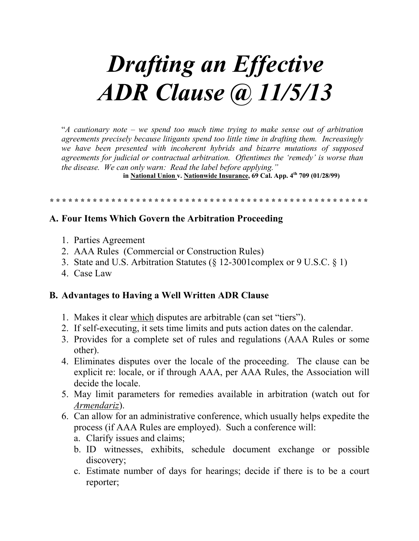# **Drafting an Effective ADR Clause (a) 11/5/13**

 $A$  cautionary note – we spend too much time trying to make sense out of arbitration agreements precisely because litigants spend too little time in drafting them. Increasingly we have been presented with incoherent hybrids and bizarre mutations of supposed agreements for judicial or contractual arbitration. Oftentimes the 'remedy' is worse than the disease. We can only warn: Read the label before applying."

in National Union v. Nationwide Insurance, 69 Cal. App. 4th 709 (01/28/99)

### A. Four Items Which Govern the Arbitration Proceeding

- 1. Parties Agreement
- 2. AAA Rules (Commercial or Construction Rules)
- 3. State and U.S. Arbitration Statutes (§ 12-3001 complex or 9 U.S.C. § 1)
- 4 Case Law

#### **B. Advantages to Having a Well Written ADR Clause**

- 1. Makes it clear which disputes are arbitrable (can set "tiers").
- 2. If self-executing, it sets time limits and puts action dates on the calendar.
- 3. Provides for a complete set of rules and regulations (AAA Rules or some other).
- 4. Eliminates disputes over the locale of the proceeding. The clause can be explicit re: locale, or if through AAA, per AAA Rules, the Association will decide the locale.
- 5. May limit parameters for remedies available in arbitration (watch out for Armendariz).
- 6. Can allow for an administrative conference, which usually helps expedite the process (if AAA Rules are employed). Such a conference will:
	- a. Clarify issues and claims:
	- b. ID witnesses, exhibits, schedule document exchange or possible discovery:
	- c. Estimate number of days for hearings; decide if there is to be a court reporter: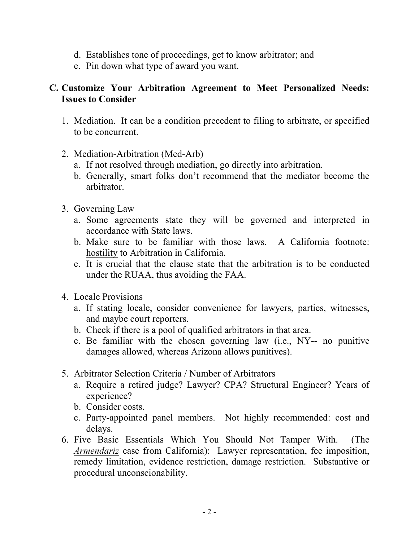- d. Establishes tone of proceedings, get to know arbitrator; and
- e. Pin down what type of award you want.

## **C. Customize Your Arbitration Agreement to Meet Personalized Needs: Issues to Consider**

- 1. Mediation. It can be a condition precedent to filing to arbitrate, or specified to be concurrent.
- 2. Mediation-Arbitration (Med-Arb)
	- a. If not resolved through mediation, go directly into arbitration.
	- b. Generally, smart folks don't recommend that the mediator become the arbitrator.
- 3. Governing Law
	- a. Some agreements state they will be governed and interpreted in accordance with State laws.
	- b. Make sure to be familiar with those laws. A California footnote: hostility to Arbitration in California.
	- c. It is crucial that the clause state that the arbitration is to be conducted under the RUAA, thus avoiding the FAA.
- 4. Locale Provisions
	- a. If stating locale, consider convenience for lawyers, parties, witnesses, and maybe court reporters.
	- b. Check if there is a pool of qualified arbitrators in that area.
	- c. Be familiar with the chosen governing law (i.e., NY-- no punitive damages allowed, whereas Arizona allows punitives).
- 5. Arbitrator Selection Criteria / Number of Arbitrators
	- a. Require a retired judge? Lawyer? CPA? Structural Engineer? Years of experience?
	- b. Consider costs.
	- c. Party-appointed panel members. Not highly recommended: cost and delays.
- 6. Five Basic Essentials Which You Should Not Tamper With. (The *Armendariz* case from California): Lawyer representation, fee imposition, remedy limitation, evidence restriction, damage restriction. Substantive or procedural unconscionability.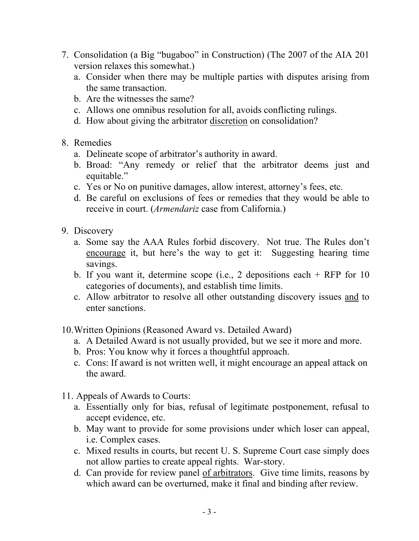- 7. Consolidation (a Big "bugaboo" in Construction) (The 2007 of the AIA 201 version relaxes this somewhat.)
	- a. Consider when there may be multiple parties with disputes arising from the same transaction.
	- b. Are the witnesses the same?
	- c. Allows one omnibus resolution for all, avoids conflicting rulings.
	- d. How about giving the arbitrator discretion on consolidation?
- 8. Remedies
	- a. Delineate scope of arbitrator's authority in award.
	- b. Broad: "Any remedy or relief that the arbitrator deems just and equitable."
	- c. Yes or No on punitive damages, allow interest, attorney's fees, etc.
	- d. Be careful on exclusions of fees or remedies that they would be able to receive in court. (*Armendariz* case from California.)
- 9. Discovery
	- a. Some say the AAA Rules forbid discovery. Not true. The Rules don't encourage it, but here's the way to get it: Suggesting hearing time savings.
	- b. If you want it, determine scope (i.e., 2 depositions each + RFP for 10 categories of documents), and establish time limits.
	- c. Allow arbitrator to resolve all other outstanding discovery issues and to enter sanctions.
- 10.Written Opinions (Reasoned Award vs. Detailed Award)
	- a. A Detailed Award is not usually provided, but we see it more and more.
	- b. Pros: You know why it forces a thoughtful approach.
	- c. Cons: If award is not written well, it might encourage an appeal attack on the award.
- 11. Appeals of Awards to Courts:
	- a. Essentially only for bias, refusal of legitimate postponement, refusal to accept evidence, etc.
	- b. May want to provide for some provisions under which loser can appeal, i.e. Complex cases.
	- c. Mixed results in courts, but recent U. S. Supreme Court case simply does not allow parties to create appeal rights. War-story.
	- d. Can provide for review panel of arbitrators. Give time limits, reasons by which award can be overturned, make it final and binding after review.